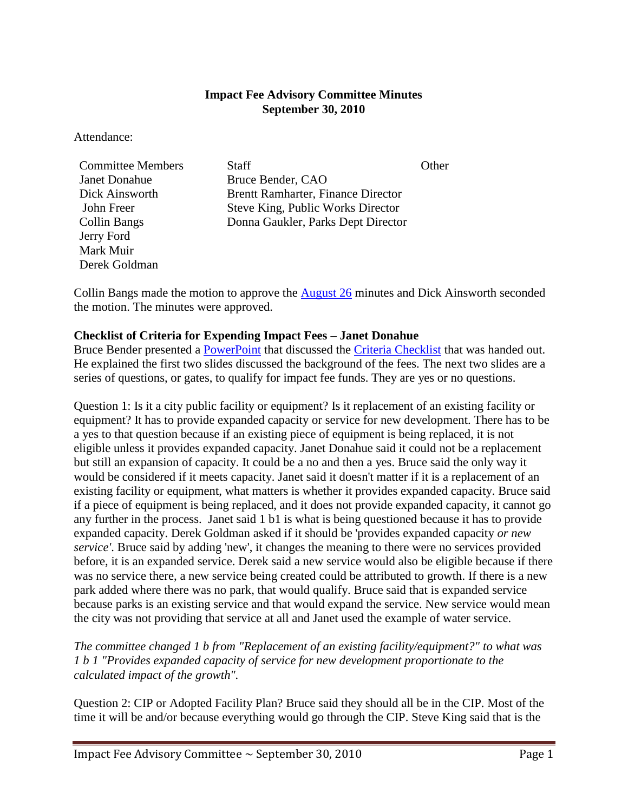### **Impact Fee Advisory Committee Minutes September 30, 2010**

Attendance:

Janet Donahue Bruce Bender, CAO Jerry Ford Mark Muir Derek Goldman

**Committee Members** Staff State State Committee Members State State State Committee Neumann State State Other Dick Ainsworth Brentt Ramharter, Finance Director John Freer Steve King, Public Works Director Collin Bangs Donna Gaukler, Parks Dept Director

Collin Bangs made the motion to approve the [August 26](http://www.ci.missoula.mt.us/Archive.aspx?ADID=2999) minutes and Dick Ainsworth seconded the motion. The minutes were approved.

### **Checklist of Criteria for Expending Impact Fees – Janet Donahue**

Bruce Bender presented a [PowerPoint](ftp://ftp.ci.missoula.mt.us/Documents/Minutes/Boards%26Commissions/IFAC/2010/CriteriaChecklistPPT.pdf) that discussed the [Criteria Checklist](ftp://ftp.ci.missoula.mt.us/Documents/Minutes/Boards%26Commissions/IFAC/2010/100930CriteriaChecklist.pdf) that was handed out. He explained the first two slides discussed the background of the fees. The next two slides are a series of questions, or gates, to qualify for impact fee funds. They are yes or no questions.

Question 1: Is it a city public facility or equipment? Is it replacement of an existing facility or equipment? It has to provide expanded capacity or service for new development. There has to be a yes to that question because if an existing piece of equipment is being replaced, it is not eligible unless it provides expanded capacity. Janet Donahue said it could not be a replacement but still an expansion of capacity. It could be a no and then a yes. Bruce said the only way it would be considered if it meets capacity. Janet said it doesn't matter if it is a replacement of an existing facility or equipment, what matters is whether it provides expanded capacity. Bruce said if a piece of equipment is being replaced, and it does not provide expanded capacity, it cannot go any further in the process. Janet said 1 b1 is what is being questioned because it has to provide expanded capacity. Derek Goldman asked if it should be 'provides expanded capacity *or new service'*. Bruce said by adding 'new', it changes the meaning to there were no services provided before, it is an expanded service. Derek said a new service would also be eligible because if there was no service there, a new service being created could be attributed to growth. If there is a new park added where there was no park, that would qualify. Bruce said that is expanded service because parks is an existing service and that would expand the service. New service would mean the city was not providing that service at all and Janet used the example of water service.

*The committee changed 1 b from "Replacement of an existing facility/equipment?" to what was 1 b 1 "Provides expanded capacity of service for new development proportionate to the calculated impact of the growth".* 

Question 2: CIP or Adopted Facility Plan? Bruce said they should all be in the CIP. Most of the time it will be and/or because everything would go through the CIP. Steve King said that is the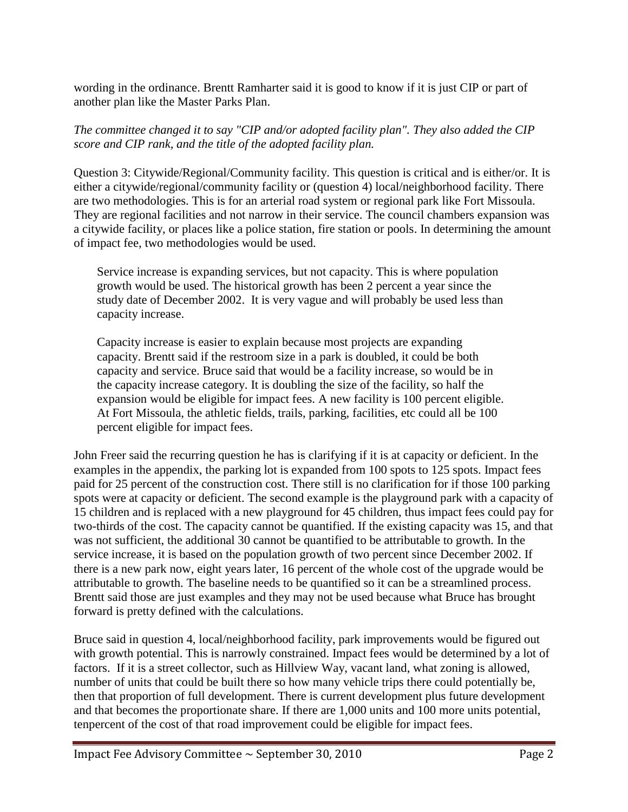wording in the ordinance. Brentt Ramharter said it is good to know if it is just CIP or part of another plan like the Master Parks Plan.

## *The committee changed it to say "CIP and/or adopted facility plan". They also added the CIP score and CIP rank, and the title of the adopted facility plan.*

Question 3: Citywide/Regional/Community facility. This question is critical and is either/or. It is either a citywide/regional/community facility or (question 4) local/neighborhood facility. There are two methodologies. This is for an arterial road system or regional park like Fort Missoula. They are regional facilities and not narrow in their service. The council chambers expansion was a citywide facility, or places like a police station, fire station or pools. In determining the amount of impact fee, two methodologies would be used.

Service increase is expanding services, but not capacity. This is where population growth would be used. The historical growth has been 2 percent a year since the study date of December 2002. It is very vague and will probably be used less than capacity increase.

Capacity increase is easier to explain because most projects are expanding capacity. Brentt said if the restroom size in a park is doubled, it could be both capacity and service. Bruce said that would be a facility increase, so would be in the capacity increase category. It is doubling the size of the facility, so half the expansion would be eligible for impact fees. A new facility is 100 percent eligible. At Fort Missoula, the athletic fields, trails, parking, facilities, etc could all be 100 percent eligible for impact fees.

John Freer said the recurring question he has is clarifying if it is at capacity or deficient. In the examples in the appendix, the parking lot is expanded from 100 spots to 125 spots. Impact fees paid for 25 percent of the construction cost. There still is no clarification for if those 100 parking spots were at capacity or deficient. The second example is the playground park with a capacity of 15 children and is replaced with a new playground for 45 children, thus impact fees could pay for two-thirds of the cost. The capacity cannot be quantified. If the existing capacity was 15, and that was not sufficient, the additional 30 cannot be quantified to be attributable to growth. In the service increase, it is based on the population growth of two percent since December 2002. If there is a new park now, eight years later, 16 percent of the whole cost of the upgrade would be attributable to growth. The baseline needs to be quantified so it can be a streamlined process. Brentt said those are just examples and they may not be used because what Bruce has brought forward is pretty defined with the calculations.

Bruce said in question 4, local/neighborhood facility, park improvements would be figured out with growth potential. This is narrowly constrained. Impact fees would be determined by a lot of factors. If it is a street collector, such as Hillview Way, vacant land, what zoning is allowed, number of units that could be built there so how many vehicle trips there could potentially be, then that proportion of full development. There is current development plus future development and that becomes the proportionate share. If there are 1,000 units and 100 more units potential, tenpercent of the cost of that road improvement could be eligible for impact fees.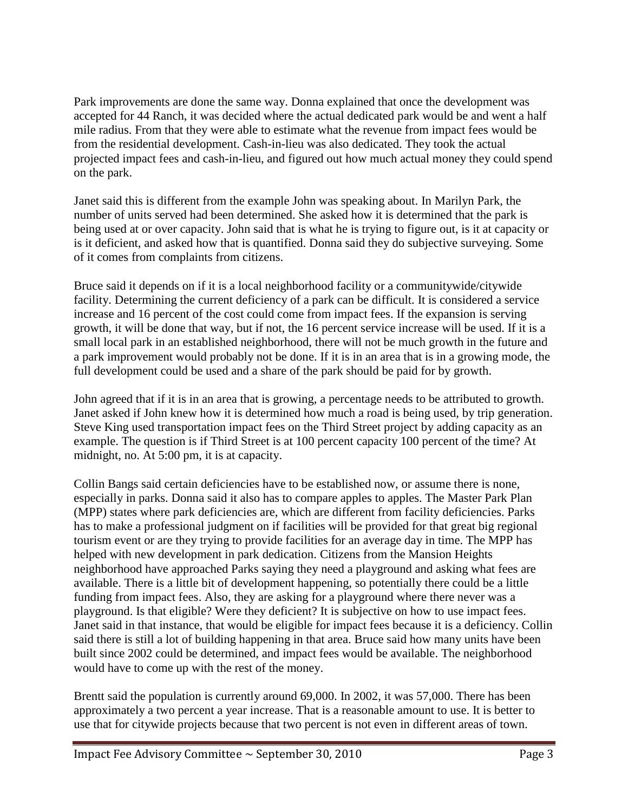Park improvements are done the same way. Donna explained that once the development was accepted for 44 Ranch, it was decided where the actual dedicated park would be and went a half mile radius. From that they were able to estimate what the revenue from impact fees would be from the residential development. Cash-in-lieu was also dedicated. They took the actual projected impact fees and cash-in-lieu, and figured out how much actual money they could spend on the park.

Janet said this is different from the example John was speaking about. In Marilyn Park, the number of units served had been determined. She asked how it is determined that the park is being used at or over capacity. John said that is what he is trying to figure out, is it at capacity or is it deficient, and asked how that is quantified. Donna said they do subjective surveying. Some of it comes from complaints from citizens.

Bruce said it depends on if it is a local neighborhood facility or a communitywide/citywide facility. Determining the current deficiency of a park can be difficult. It is considered a service increase and 16 percent of the cost could come from impact fees. If the expansion is serving growth, it will be done that way, but if not, the 16 percent service increase will be used. If it is a small local park in an established neighborhood, there will not be much growth in the future and a park improvement would probably not be done. If it is in an area that is in a growing mode, the full development could be used and a share of the park should be paid for by growth.

John agreed that if it is in an area that is growing, a percentage needs to be attributed to growth. Janet asked if John knew how it is determined how much a road is being used, by trip generation. Steve King used transportation impact fees on the Third Street project by adding capacity as an example. The question is if Third Street is at 100 percent capacity 100 percent of the time? At midnight, no. At 5:00 pm, it is at capacity.

Collin Bangs said certain deficiencies have to be established now, or assume there is none, especially in parks. Donna said it also has to compare apples to apples. The Master Park Plan (MPP) states where park deficiencies are, which are different from facility deficiencies. Parks has to make a professional judgment on if facilities will be provided for that great big regional tourism event or are they trying to provide facilities for an average day in time. The MPP has helped with new development in park dedication. Citizens from the Mansion Heights neighborhood have approached Parks saying they need a playground and asking what fees are available. There is a little bit of development happening, so potentially there could be a little funding from impact fees. Also, they are asking for a playground where there never was a playground. Is that eligible? Were they deficient? It is subjective on how to use impact fees. Janet said in that instance, that would be eligible for impact fees because it is a deficiency. Collin said there is still a lot of building happening in that area. Bruce said how many units have been built since 2002 could be determined, and impact fees would be available. The neighborhood would have to come up with the rest of the money.

Brentt said the population is currently around 69,000. In 2002, it was 57,000. There has been approximately a two percent a year increase. That is a reasonable amount to use. It is better to use that for citywide projects because that two percent is not even in different areas of town.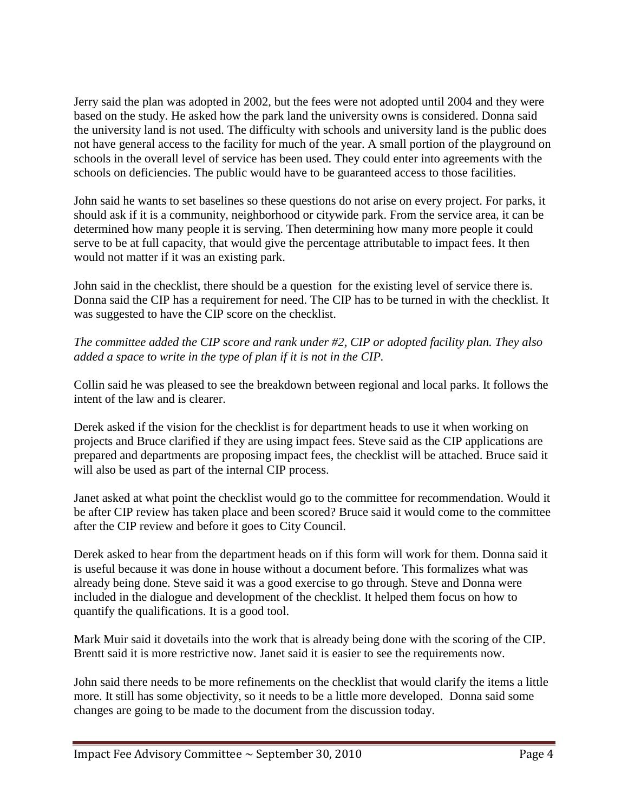Jerry said the plan was adopted in 2002, but the fees were not adopted until 2004 and they were based on the study. He asked how the park land the university owns is considered. Donna said the university land is not used. The difficulty with schools and university land is the public does not have general access to the facility for much of the year. A small portion of the playground on schools in the overall level of service has been used. They could enter into agreements with the schools on deficiencies. The public would have to be guaranteed access to those facilities.

John said he wants to set baselines so these questions do not arise on every project. For parks, it should ask if it is a community, neighborhood or citywide park. From the service area, it can be determined how many people it is serving. Then determining how many more people it could serve to be at full capacity, that would give the percentage attributable to impact fees. It then would not matter if it was an existing park.

John said in the checklist, there should be a question for the existing level of service there is. Donna said the CIP has a requirement for need. The CIP has to be turned in with the checklist. It was suggested to have the CIP score on the checklist.

# *The committee added the CIP score and rank under #2, CIP or adopted facility plan. They also added a space to write in the type of plan if it is not in the CIP.*

Collin said he was pleased to see the breakdown between regional and local parks. It follows the intent of the law and is clearer.

Derek asked if the vision for the checklist is for department heads to use it when working on projects and Bruce clarified if they are using impact fees. Steve said as the CIP applications are prepared and departments are proposing impact fees, the checklist will be attached. Bruce said it will also be used as part of the internal CIP process.

Janet asked at what point the checklist would go to the committee for recommendation. Would it be after CIP review has taken place and been scored? Bruce said it would come to the committee after the CIP review and before it goes to City Council.

Derek asked to hear from the department heads on if this form will work for them. Donna said it is useful because it was done in house without a document before. This formalizes what was already being done. Steve said it was a good exercise to go through. Steve and Donna were included in the dialogue and development of the checklist. It helped them focus on how to quantify the qualifications. It is a good tool.

Mark Muir said it dovetails into the work that is already being done with the scoring of the CIP. Brentt said it is more restrictive now. Janet said it is easier to see the requirements now.

John said there needs to be more refinements on the checklist that would clarify the items a little more. It still has some objectivity, so it needs to be a little more developed. Donna said some changes are going to be made to the document from the discussion today.